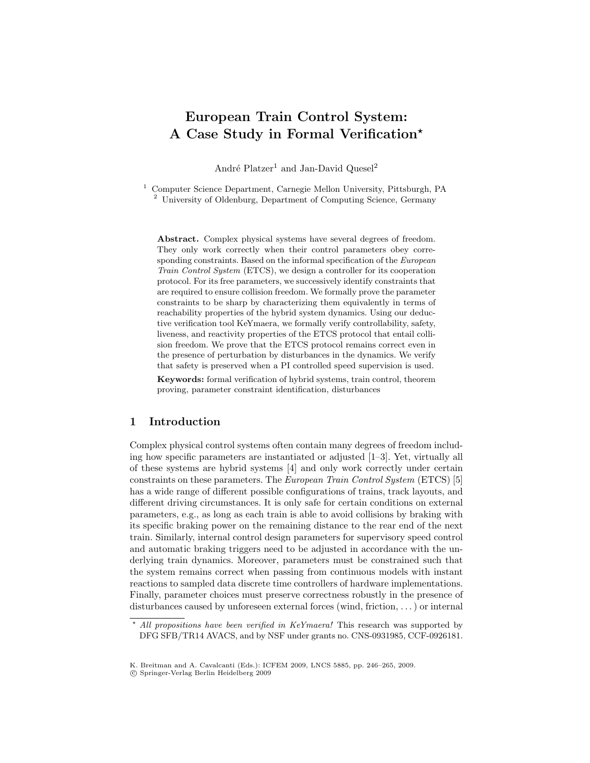# European Train Control System: A Case Study in Formal Verification?

André Platzer<sup>1</sup> and Jan-David Quesel<sup>2</sup>

<sup>1</sup> Computer Science Department, Carnegie Mellon University, Pittsburgh, PA  $2$  University of Oldenburg, Department of Computing Science, Germany

Abstract. Complex physical systems have several degrees of freedom. They only work correctly when their control parameters obey corresponding constraints. Based on the informal specification of the European Train Control System (ETCS), we design a controller for its cooperation protocol. For its free parameters, we successively identify constraints that are required to ensure collision freedom. We formally prove the parameter constraints to be sharp by characterizing them equivalently in terms of reachability properties of the hybrid system dynamics. Using our deductive verification tool KeYmaera, we formally verify controllability, safety, liveness, and reactivity properties of the ETCS protocol that entail collision freedom. We prove that the ETCS protocol remains correct even in the presence of perturbation by disturbances in the dynamics. We verify that safety is preserved when a PI controlled speed supervision is used.

Keywords: formal verification of hybrid systems, train control, theorem proving, parameter constraint identification, disturbances

# 1 Introduction

Complex physical control systems often contain many degrees of freedom including how specific parameters are instantiated or adjusted [1–3]. Yet, virtually all of these systems are hybrid systems [4] and only work correctly under certain constraints on these parameters. The European Train Control System (ETCS) [5] has a wide range of different possible configurations of trains, track layouts, and different driving circumstances. It is only safe for certain conditions on external parameters, e.g., as long as each train is able to avoid collisions by braking with its specific braking power on the remaining distance to the rear end of the next train. Similarly, internal control design parameters for supervisory speed control and automatic braking triggers need to be adjusted in accordance with the underlying train dynamics. Moreover, parameters must be constrained such that the system remains correct when passing from continuous models with instant reactions to sampled data discrete time controllers of hardware implementations. Finally, parameter choices must preserve correctness robustly in the presence of disturbances caused by unforeseen external forces (wind, friction, . . . ) or internal

<sup>?</sup> All propositions have been verified in KeYmaera! This research was supported by DFG SFB/TR14 AVACS, and by NSF under grants no. CNS-0931985, CCF-0926181.

K. Breitman and A. Cavalcanti (Eds.): ICFEM 2009, LNCS 5885, pp. 246–265, 2009.

c Springer-Verlag Berlin Heidelberg 2009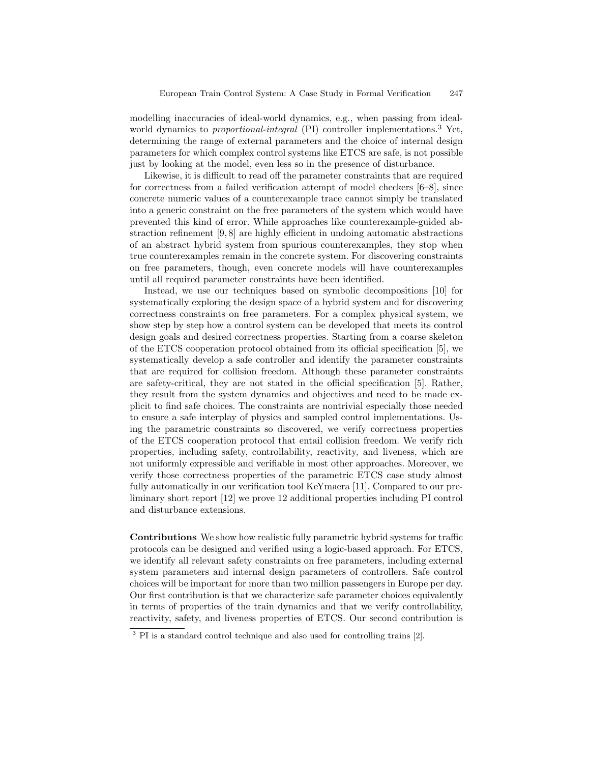modelling inaccuracies of ideal-world dynamics, e.g., when passing from idealworld dynamics to *proportional-integral* (PI) controller implementations.<sup>3</sup> Yet, determining the range of external parameters and the choice of internal design parameters for which complex control systems like ETCS are safe, is not possible just by looking at the model, even less so in the presence of disturbance.

Likewise, it is difficult to read off the parameter constraints that are required for correctness from a failed verification attempt of model checkers [6–8], since concrete numeric values of a counterexample trace cannot simply be translated into a generic constraint on the free parameters of the system which would have prevented this kind of error. While approaches like counterexample-guided abstraction refinement [9, 8] are highly efficient in undoing automatic abstractions of an abstract hybrid system from spurious counterexamples, they stop when true counterexamples remain in the concrete system. For discovering constraints on free parameters, though, even concrete models will have counterexamples until all required parameter constraints have been identified.

Instead, we use our techniques based on symbolic decompositions [10] for systematically exploring the design space of a hybrid system and for discovering correctness constraints on free parameters. For a complex physical system, we show step by step how a control system can be developed that meets its control design goals and desired correctness properties. Starting from a coarse skeleton of the ETCS cooperation protocol obtained from its official specification [5], we systematically develop a safe controller and identify the parameter constraints that are required for collision freedom. Although these parameter constraints are safety-critical, they are not stated in the official specification [5]. Rather, they result from the system dynamics and objectives and need to be made explicit to find safe choices. The constraints are nontrivial especially those needed to ensure a safe interplay of physics and sampled control implementations. Using the parametric constraints so discovered, we verify correctness properties of the ETCS cooperation protocol that entail collision freedom. We verify rich properties, including safety, controllability, reactivity, and liveness, which are not uniformly expressible and verifiable in most other approaches. Moreover, we verify those correctness properties of the parametric ETCS case study almost fully automatically in our verification tool KeYmaera [11]. Compared to our preliminary short report [12] we prove 12 additional properties including PI control and disturbance extensions.

Contributions We show how realistic fully parametric hybrid systems for traffic protocols can be designed and verified using a logic-based approach. For ETCS, we identify all relevant safety constraints on free parameters, including external system parameters and internal design parameters of controllers. Safe control choices will be important for more than two million passengers in Europe per day. Our first contribution is that we characterize safe parameter choices equivalently in terms of properties of the train dynamics and that we verify controllability, reactivity, safety, and liveness properties of ETCS. Our second contribution is

<sup>3</sup> PI is a standard control technique and also used for controlling trains [2].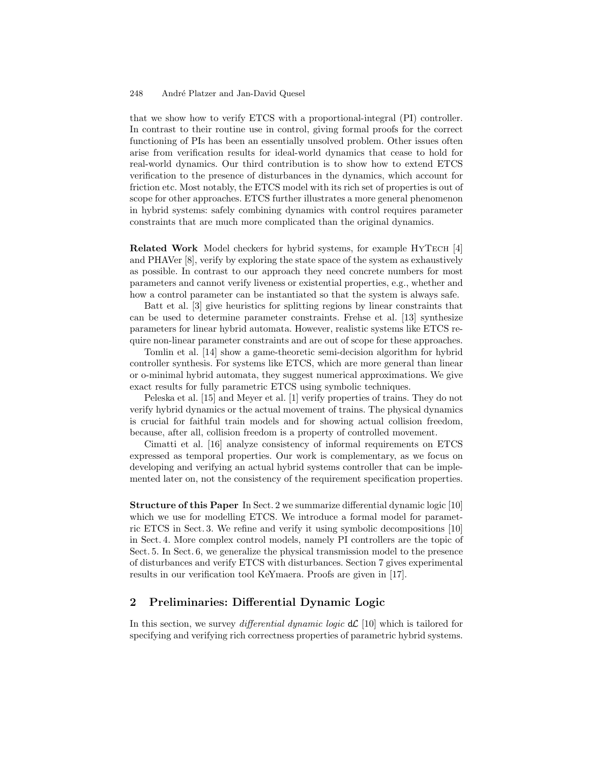that we show how to verify ETCS with a proportional-integral (PI) controller. In contrast to their routine use in control, giving formal proofs for the correct functioning of PIs has been an essentially unsolved problem. Other issues often arise from verification results for ideal-world dynamics that cease to hold for real-world dynamics. Our third contribution is to show how to extend ETCS verification to the presence of disturbances in the dynamics, which account for friction etc. Most notably, the ETCS model with its rich set of properties is out of scope for other approaches. ETCS further illustrates a more general phenomenon in hybrid systems: safely combining dynamics with control requires parameter constraints that are much more complicated than the original dynamics.

Related Work Model checkers for hybrid systems, for example HYTECH [4] and PHAVer [8], verify by exploring the state space of the system as exhaustively as possible. In contrast to our approach they need concrete numbers for most parameters and cannot verify liveness or existential properties, e.g., whether and how a control parameter can be instantiated so that the system is always safe.

Batt et al. [3] give heuristics for splitting regions by linear constraints that can be used to determine parameter constraints. Frehse et al. [13] synthesize parameters for linear hybrid automata. However, realistic systems like ETCS require non-linear parameter constraints and are out of scope for these approaches.

Tomlin et al. [14] show a game-theoretic semi-decision algorithm for hybrid controller synthesis. For systems like ETCS, which are more general than linear or o-minimal hybrid automata, they suggest numerical approximations. We give exact results for fully parametric ETCS using symbolic techniques.

Peleska et al. [15] and Meyer et al. [1] verify properties of trains. They do not verify hybrid dynamics or the actual movement of trains. The physical dynamics is crucial for faithful train models and for showing actual collision freedom, because, after all, collision freedom is a property of controlled movement.

Cimatti et al. [16] analyze consistency of informal requirements on ETCS expressed as temporal properties. Our work is complementary, as we focus on developing and verifying an actual hybrid systems controller that can be implemented later on, not the consistency of the requirement specification properties.

Structure of this Paper In Sect. 2 we summarize differential dynamic logic [10] which we use for modelling ETCS. We introduce a formal model for parametric ETCS in Sect. 3. We refine and verify it using symbolic decompositions [10] in Sect. 4. More complex control models, namely PI controllers are the topic of Sect. 5. In Sect. 6, we generalize the physical transmission model to the presence of disturbances and verify ETCS with disturbances. Section 7 gives experimental results in our verification tool KeYmaera. Proofs are given in [17].

# 2 Preliminaries: Differential Dynamic Logic

In this section, we survey *differential dynamic logic*  $d\mathcal{L}$  [10] which is tailored for specifying and verifying rich correctness properties of parametric hybrid systems.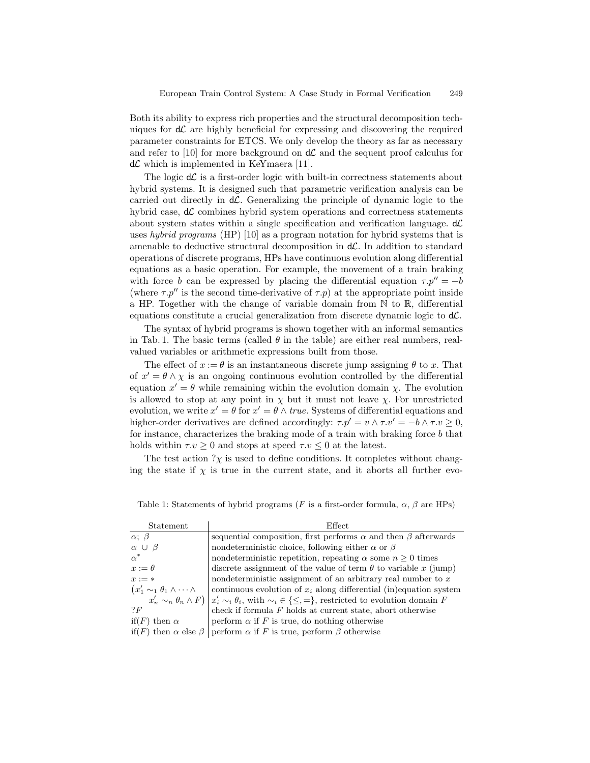Both its ability to express rich properties and the structural decomposition techniques for  $d\mathcal{L}$  are highly beneficial for expressing and discovering the required parameter constraints for ETCS. We only develop the theory as far as necessary and refer to [10] for more background on  $d\mathcal{L}$  and the sequent proof calculus for  $d\mathcal{L}$  which is implemented in KeYmaera [11].

The logic  $d\mathcal{L}$  is a first-order logic with built-in correctness statements about hybrid systems. It is designed such that parametric verification analysis can be carried out directly in  $d\mathcal{L}$ . Generalizing the principle of dynamic logic to the hybrid case,  $d\mathcal{L}$  combines hybrid system operations and correctness statements about system states within a single specification and verification language.  $d\mathcal{L}$ uses hybrid programs (HP) [10] as a program notation for hybrid systems that is amenable to deductive structural decomposition in  $d\mathcal{L}$ . In addition to standard operations of discrete programs, HPs have continuous evolution along differential equations as a basic operation. For example, the movement of a train braking with force b can be expressed by placing the differential equation  $\tau.p'' = -b$ (where  $\tau.p''$  is the second time-derivative of  $\tau.p$ ) at the appropriate point inside a HP. Together with the change of variable domain from  $\mathbb N$  to  $\mathbb R$ , differential equations constitute a crucial generalization from discrete dynamic logic to  $d\mathcal{L}$ .

The syntax of hybrid programs is shown together with an informal semantics in Tab. 1. The basic terms (called  $\theta$  in the table) are either real numbers, realvalued variables or arithmetic expressions built from those.

The effect of  $x := \theta$  is an instantaneous discrete jump assigning  $\theta$  to x. That of  $x' = \theta \wedge \chi$  is an ongoing continuous evolution controlled by the differential equation  $x' = \theta$  while remaining within the evolution domain  $\chi$ . The evolution is allowed to stop at any point in  $\chi$  but it must not leave  $\chi$ . For unrestricted evolution, we write  $x' = \theta$  for  $x' = \theta \wedge true$ . Systems of differential equations and higher-order derivatives are defined accordingly:  $\tau.p' = v \wedge \tau.v' = -b \wedge \tau.v \geq 0$ , for instance, characterizes the braking mode of a train with braking force b that holds within  $\tau.v \geq 0$  and stops at speed  $\tau.v \leq 0$  at the latest.

The test action  $?$ <sub>X</sub> is used to define conditions. It completes without changing the state if  $\chi$  is true in the current state, and it aborts all further evo-

| Statement                                    | Effect                                                                                         |
|----------------------------------------------|------------------------------------------------------------------------------------------------|
| $\alpha$ ; $\beta$                           | sequential composition, first performs $\alpha$ and then $\beta$ afterwards                    |
| $\alpha \cup \beta$                          | nondeterministic choice, following either $\alpha$ or $\beta$                                  |
| $\alpha^*$                                   | nondeterministic repetition, repeating $\alpha$ some $n > 0$ times                             |
| $x := \theta$                                | discrete assignment of the value of term $\theta$ to variable x (jump)                         |
| $x := *$                                     | nondeterministic assignment of an arbitrary real number to $x$                                 |
| $(x'_1 \sim_1 \theta_1 \wedge \cdots \wedge$ | continuous evolution of $x_i$ along differential (in)equation system                           |
| $x'_n \sim_n \theta_n \wedge F$              | $x'_i \sim_i \theta_i$ , with $\sim_i \in \{\leq,=\}$ , restricted to evolution domain F       |
| 2F                                           | check if formula $F$ holds at current state, abort otherwise                                   |
| if(F) then $\alpha$                          | perform $\alpha$ if F is true, do nothing otherwise                                            |
|                                              | if $(F)$ then $\alpha$ else $\beta$   perform $\alpha$ if F is true, perform $\beta$ otherwise |

Table 1: Statements of hybrid programs (F is a first-order formula,  $\alpha$ ,  $\beta$  are HPs)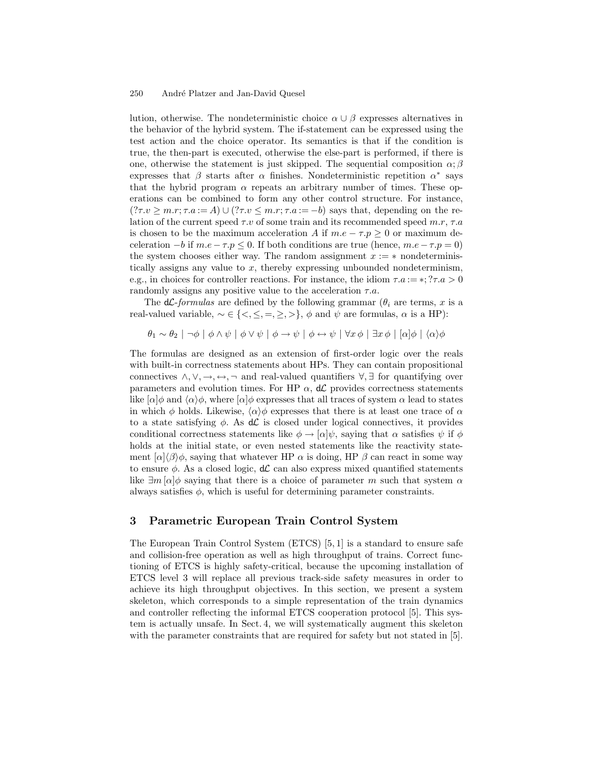lution, otherwise. The nondeterministic choice  $\alpha \cup \beta$  expresses alternatives in the behavior of the hybrid system. The if-statement can be expressed using the test action and the choice operator. Its semantics is that if the condition is true, the then-part is executed, otherwise the else-part is performed, if there is one, otherwise the statement is just skipped. The sequential composition  $\alpha$ ;  $\beta$ expresses that  $\beta$  starts after  $\alpha$  finishes. Nondeterministic repetition  $\alpha^*$  says that the hybrid program  $\alpha$  repeats an arbitrary number of times. These operations can be combined to form any other control structure. For instance,  $(?τ.v \geq m.r; τ.a := A) \cup (?τ.v \leq m.r; τ.a := -b)$  says that, depending on the relation of the current speed  $\tau.v$  of some train and its recommended speed  $m.r$ ,  $\tau.a$ is chosen to be the maximum acceleration A if  $m.e - \tau.p \geq 0$  or maximum deceleration  $-b$  if  $m.e - \tau.p \leq 0$ . If both conditions are true (hence,  $m.e - \tau.p = 0$ ) the system chooses either way. The random assignment  $x := *$  nondeterministically assigns any value to  $x$ , thereby expressing unbounded nondeterminism, e.g., in choices for controller reactions. For instance, the idiom  $\tau.a := \xi$ ;  $? \tau.a > 0$ randomly assigns any positive value to the acceleration  $\tau.a$ .

The dC-formulas are defined by the following grammar ( $\theta_i$  are terms, x is a real-valued variable,  $\sim \in \{ \langle 1, 1 \rangle, \varphi \}$ ,  $\phi$  and  $\psi$  are formulas,  $\alpha$  is a HP):

 $\theta_1 \sim \theta_2 \mid \neg \phi \mid \phi \wedge \psi \mid \phi \vee \psi \mid \phi \rightarrow \psi \mid \phi \leftrightarrow \psi \mid \forall x \phi \mid \exists x \phi \mid [\alpha] \phi \mid \langle \alpha \rangle \phi$ 

The formulas are designed as an extension of first-order logic over the reals with built-in correctness statements about HPs. They can contain propositional connectives  $\wedge, \vee, \rightarrow, \rightarrow, \neg$  and real-valued quantifiers  $\forall, \exists$  for quantifying over parameters and evolution times. For HP  $\alpha$ ,  $d\mathcal{L}$  provides correctness statements like  $\alpha|\phi$  and  $\langle \alpha \rangle \phi$ , where  $\alpha|\phi$  expresses that all traces of system  $\alpha$  lead to states in which  $\phi$  holds. Likewise,  $\langle \alpha \rangle \phi$  expresses that there is at least one trace of  $\alpha$ to a state satisfying  $\phi$ . As  $d\mathcal{L}$  is closed under logical connectives, it provides conditional correctness statements like  $\phi \rightarrow [\alpha]\psi$ , saying that  $\alpha$  satisfies  $\psi$  if  $\phi$ holds at the initial state, or even nested statements like the reactivity statement  $[\alpha]\langle\beta\rangle\phi$ , saying that whatever HP  $\alpha$  is doing, HP  $\beta$  can react in some way to ensure  $\phi$ . As a closed logic,  $d\mathcal{L}$  can also express mixed quantified statements like  $\exists m \left[ \alpha \right]$  saying that there is a choice of parameter m such that system  $\alpha$ always satisfies  $\phi$ , which is useful for determining parameter constraints.

# 3 Parametric European Train Control System

The European Train Control System (ETCS) [5, 1] is a standard to ensure safe and collision-free operation as well as high throughput of trains. Correct functioning of ETCS is highly safety-critical, because the upcoming installation of ETCS level 3 will replace all previous track-side safety measures in order to achieve its high throughput objectives. In this section, we present a system skeleton, which corresponds to a simple representation of the train dynamics and controller reflecting the informal ETCS cooperation protocol [5]. This system is actually unsafe. In Sect. 4, we will systematically augment this skeleton with the parameter constraints that are required for safety but not stated in [5].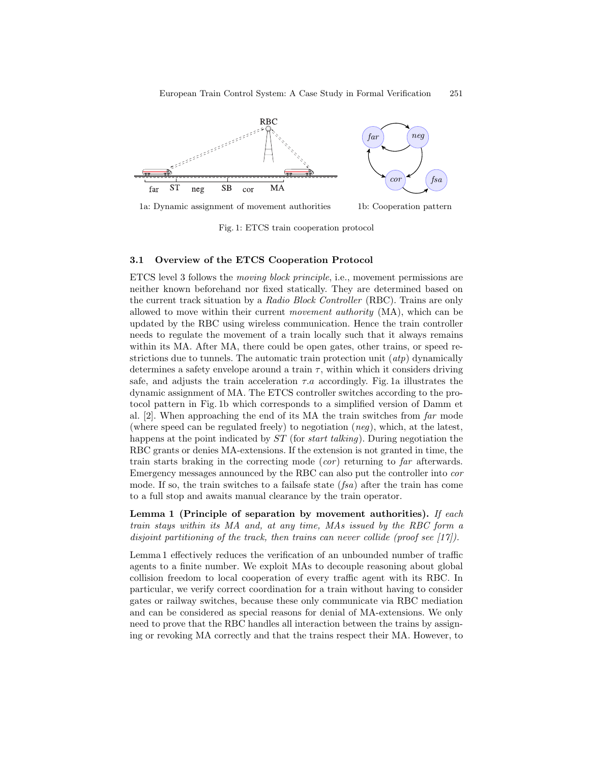

1a: Dynamic assignment of movement authorities 1b: Cooperation pattern

Fig. 1: ETCS train cooperation protocol

## 3.1 Overview of the ETCS Cooperation Protocol

ETCS level 3 follows the moving block principle, i.e., movement permissions are neither known beforehand nor fixed statically. They are determined based on the current track situation by a Radio Block Controller (RBC). Trains are only allowed to move within their current movement authority (MA), which can be updated by the RBC using wireless communication. Hence the train controller needs to regulate the movement of a train locally such that it always remains within its MA. After MA, there could be open gates, other trains, or speed restrictions due to tunnels. The automatic train protection unit  $(atp)$  dynamically determines a safety envelope around a train  $\tau$ , within which it considers driving safe, and adjusts the train acceleration  $\tau.a$  accordingly. Fig. 1a illustrates the dynamic assignment of MA. The ETCS controller switches according to the protocol pattern in Fig. 1b which corresponds to a simplified version of Damm et al.  $[2]$ . When approaching the end of its MA the train switches from  $\eta$  mode (where speed can be regulated freely) to negotiation  $(neg)$ , which, at the latest, happens at the point indicated by  $ST$  (for *start talking*). During negotiation the RBC grants or denies MA-extensions. If the extension is not granted in time, the train starts braking in the correcting mode  $(cor)$  returning to far afterwards. Emergency messages announced by the RBC can also put the controller into cor mode. If so, the train switches to a failsafe state  $(fsa)$  after the train has come to a full stop and awaits manual clearance by the train operator.

Lemma 1 (Principle of separation by movement authorities). If each train stays within its MA and, at any time, MAs issued by the RBC form a disjoint partitioning of the track, then trains can never collide (proof see  $(17)$ ).

Lemma 1 effectively reduces the verification of an unbounded number of traffic agents to a finite number. We exploit MAs to decouple reasoning about global collision freedom to local cooperation of every traffic agent with its RBC. In particular, we verify correct coordination for a train without having to consider gates or railway switches, because these only communicate via RBC mediation and can be considered as special reasons for denial of MA-extensions. We only need to prove that the RBC handles all interaction between the trains by assigning or revoking MA correctly and that the trains respect their MA. However, to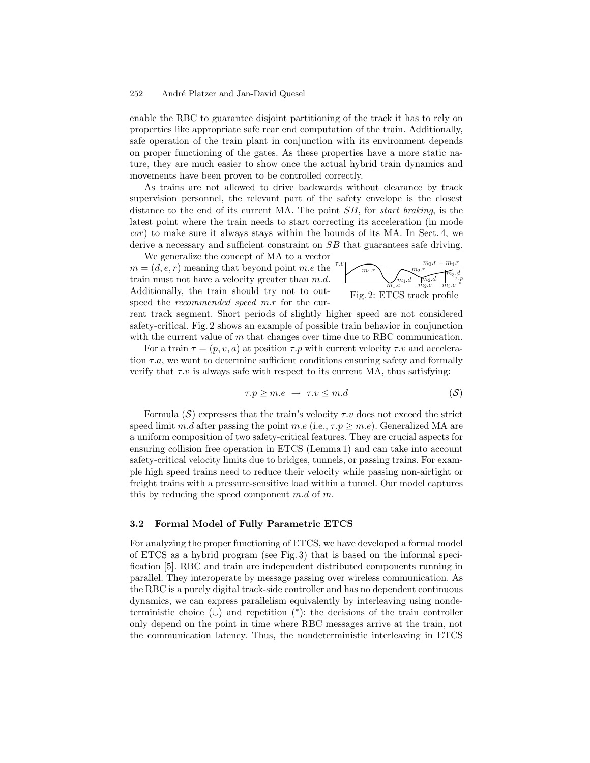enable the RBC to guarantee disjoint partitioning of the track it has to rely on properties like appropriate safe rear end computation of the train. Additionally, safe operation of the train plant in conjunction with its environment depends on proper functioning of the gates. As these properties have a more static nature, they are much easier to show once the actual hybrid train dynamics and movements have been proven to be controlled correctly.

As trains are not allowed to drive backwards without clearance by track supervision personnel, the relevant part of the safety envelope is the closest distance to the end of its current MA. The point SB, for *start braking*, is the latest point where the train needs to start correcting its acceleration (in mode cor) to make sure it always stays within the bounds of its MA. In Sect. 4, we derive a necessary and sufficient constraint on SB that guarantees safe driving.

We generalize the concept of MA to a vector  $m = (d, e, r)$  meaning that beyond point m.e the train must not have a velocity greater than  $m.d.$ Additionally, the train should try not to outspeed the *recommended speed m.r* for the cur-



rent track segment. Short periods of slightly higher speed are not considered safety-critical. Fig. 2 shows an example of possible train behavior in conjunction with the current value of  $m$  that changes over time due to RBC communication.

For a train  $\tau = (p, v, a)$  at position  $\tau.p$  with current velocity  $\tau.v$  and acceleration  $\tau.a$ , we want to determine sufficient conditions ensuring safety and formally verify that  $\tau.v$  is always safe with respect to its current MA, thus satisfying:

$$
\tau.p \ge m.e \rightarrow \tau.v \le m.d \tag{S}
$$

Formula  $(\mathcal{S})$  expresses that the train's velocity  $\tau.v$  does not exceed the strict speed limit m.d after passing the point m.e (i.e.,  $\tau.p \geq m.e$ ). Generalized MA are a uniform composition of two safety-critical features. They are crucial aspects for ensuring collision free operation in ETCS (Lemma 1) and can take into account safety-critical velocity limits due to bridges, tunnels, or passing trains. For example high speed trains need to reduce their velocity while passing non-airtight or freight trains with a pressure-sensitive load within a tunnel. Our model captures this by reducing the speed component  $m.d$  of  $m$ .

## 3.2 Formal Model of Fully Parametric ETCS

For analyzing the proper functioning of ETCS, we have developed a formal model of ETCS as a hybrid program (see Fig. 3) that is based on the informal specification [5]. RBC and train are independent distributed components running in parallel. They interoperate by message passing over wireless communication. As the RBC is a purely digital track-side controller and has no dependent continuous dynamics, we can express parallelism equivalently by interleaving using nondeterministic choice (∪) and repetition (<sup>∗</sup> ): the decisions of the train controller only depend on the point in time where RBC messages arrive at the train, not the communication latency. Thus, the nondeterministic interleaving in ETCS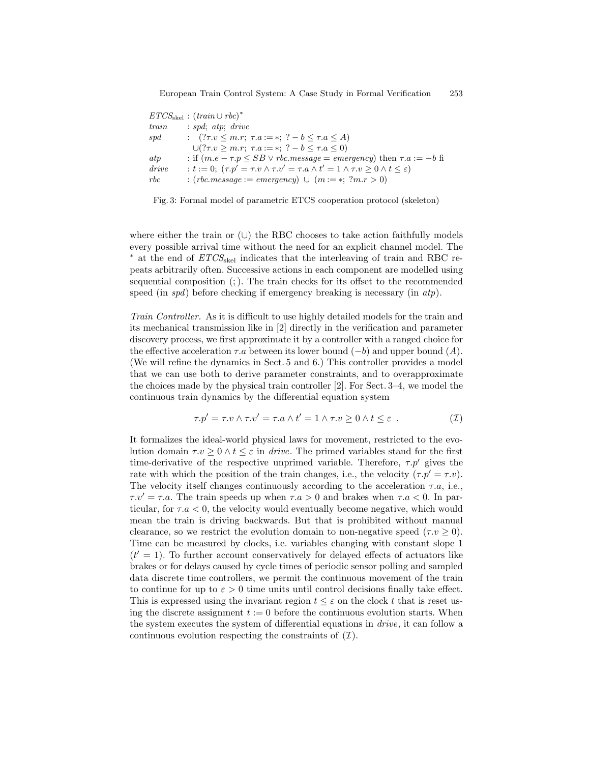|          | $ETCS_{\rm skel} : (train \cup rbc)^*$                                                                                             |
|----------|------------------------------------------------------------------------------------------------------------------------------------|
| train    | $:$ spd; atp; drive                                                                                                                |
| spd      | : $(? \tau.v \leq m.r; \ \tau.a := *) \ ? - b \leq \tau.a \leq A)$                                                                 |
|          | $\bigcup (?\tau.v \ge m.r; \ \tau.a := *, \ ? - b \le \tau.a \le 0)$                                                               |
| atp      | : if $(m.e - \tau.p \le SB \vee rbc$ . message = emergency) then $\tau.a := -b$ fi                                                 |
| drive    | $\tau : t := 0; (\tau . p' = \tau . v \wedge \tau . v' = \tau . a \wedge t' = 1 \wedge \tau . v \geq 0 \wedge t \leq \varepsilon)$ |
| $_{rbc}$ | : $(rbc \text{ message} := \text{energy}) \cup (m := *, ?m.r > 0)$                                                                 |

Fig. 3: Formal model of parametric ETCS cooperation protocol (skeleton)

where either the train or  $(\cup)$  the RBC chooses to take action faithfully models every possible arrival time without the need for an explicit channel model. The  $*$  at the end of  $ETCS_{\rm skel}$  indicates that the interleaving of train and RBC repeats arbitrarily often. Successive actions in each component are modelled using sequential composition (; ). The train checks for its offset to the recommended speed (in spd) before checking if emergency breaking is necessary (in atp).

Train Controller. As it is difficult to use highly detailed models for the train and its mechanical transmission like in [2] directly in the verification and parameter discovery process, we first approximate it by a controller with a ranged choice for the effective acceleration  $\tau.a$  between its lower bound  $(-b)$  and upper bound  $(A)$ . (We will refine the dynamics in Sect. 5 and 6.) This controller provides a model that we can use both to derive parameter constraints, and to overapproximate the choices made by the physical train controller [2]. For Sect. 3–4, we model the continuous train dynamics by the differential equation system

$$
\tau.p' = \tau.v \land \tau.v' = \tau.a \land t' = 1 \land \tau.v \ge 0 \land t \le \varepsilon . \tag{I}
$$

It formalizes the ideal-world physical laws for movement, restricted to the evolution domain  $\tau \cdot v > 0 \wedge t < \varepsilon$  in *drive*. The primed variables stand for the first time-derivative of the respective unprimed variable. Therefore,  $\tau.p'$  gives the rate with which the position of the train changes, i.e., the velocity  $(\tau.p' = \tau.v)$ . The velocity itself changes continuously according to the acceleration  $\tau.a$ , i.e.,  $\tau.v' = \tau.a$ . The train speeds up when  $\tau.a > 0$  and brakes when  $\tau.a < 0$ . In particular, for  $\tau.a < 0$ , the velocity would eventually become negative, which would mean the train is driving backwards. But that is prohibited without manual clearance, so we restrict the evolution domain to non-negative speed  $(\tau, v \geq 0)$ . Time can be measured by clocks, i.e. variables changing with constant slope 1  $(t' = 1)$ . To further account conservatively for delayed effects of actuators like brakes or for delays caused by cycle times of periodic sensor polling and sampled data discrete time controllers, we permit the continuous movement of the train to continue for up to  $\varepsilon > 0$  time units until control decisions finally take effect. This is expressed using the invariant region  $t \leq \varepsilon$  on the clock t that is reset using the discrete assignment  $t := 0$  before the continuous evolution starts. When the system executes the system of differential equations in drive, it can follow a continuous evolution respecting the constraints of  $(\mathcal{I})$ .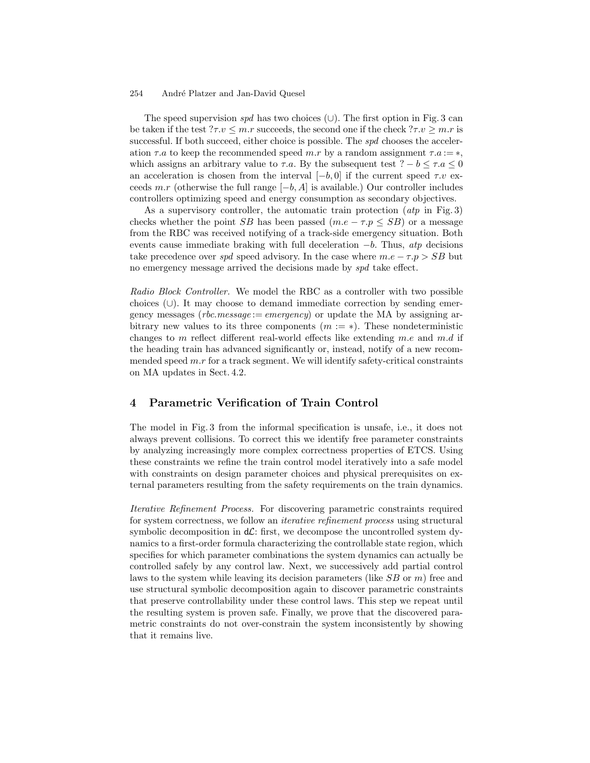The speed supervision spd has two choices (∪). The first option in Fig. 3 can be taken if the test  $? \tau.v \leq m.r$  succeeds, the second one if the check  $? \tau.v \geq m.r$  is successful. If both succeed, either choice is possible. The spd chooses the acceleration  $\tau.a$  to keep the recommended speed m.r by a random assignment  $\tau.a := *,$ which assigns an arbitrary value to  $\tau.a$ . By the subsequent test  $? - b \leq \tau.a \leq 0$ an acceleration is chosen from the interval  $[-b, 0]$  if the current speed  $\tau \cdot v$  exceeds m.r (otherwise the full range  $[-b, A]$  is available.) Our controller includes controllers optimizing speed and energy consumption as secondary objectives.

As a supervisory controller, the automatic train protection  $(atp \text{ in Fig. 3})$ checks whether the point SB has been passed  $(m.e - \tau.p \le SB)$  or a message from the RBC was received notifying of a track-side emergency situation. Both events cause immediate braking with full deceleration  $-b$ . Thus, atp decisions take precedence over spd speed advisory. In the case where  $m.e - \tau.p > SB$  but no emergency message arrived the decisions made by spd take effect.

Radio Block Controller. We model the RBC as a controller with two possible choices (∪). It may choose to demand immediate correction by sending emergency messages (*rbc.message* := *emergency*) or update the MA by assigning arbitrary new values to its three components  $(m := *)$ . These nondeterministic changes to m reflect different real-world effects like extending  $m.e$  and  $m.d$  if the heading train has advanced significantly or, instead, notify of a new recommended speed  $m.r$  for a track segment. We will identify safety-critical constraints on MA updates in Sect. 4.2.

# 4 Parametric Verification of Train Control

The model in Fig. 3 from the informal specification is unsafe, i.e., it does not always prevent collisions. To correct this we identify free parameter constraints by analyzing increasingly more complex correctness properties of ETCS. Using these constraints we refine the train control model iteratively into a safe model with constraints on design parameter choices and physical prerequisites on external parameters resulting from the safety requirements on the train dynamics.

Iterative Refinement Process. For discovering parametric constraints required for system correctness, we follow an iterative refinement process using structural symbolic decomposition in  $d\mathcal{L}$ : first, we decompose the uncontrolled system dynamics to a first-order formula characterizing the controllable state region, which specifies for which parameter combinations the system dynamics can actually be controlled safely by any control law. Next, we successively add partial control laws to the system while leaving its decision parameters (like  $SB$  or m) free and use structural symbolic decomposition again to discover parametric constraints that preserve controllability under these control laws. This step we repeat until the resulting system is proven safe. Finally, we prove that the discovered parametric constraints do not over-constrain the system inconsistently by showing that it remains live.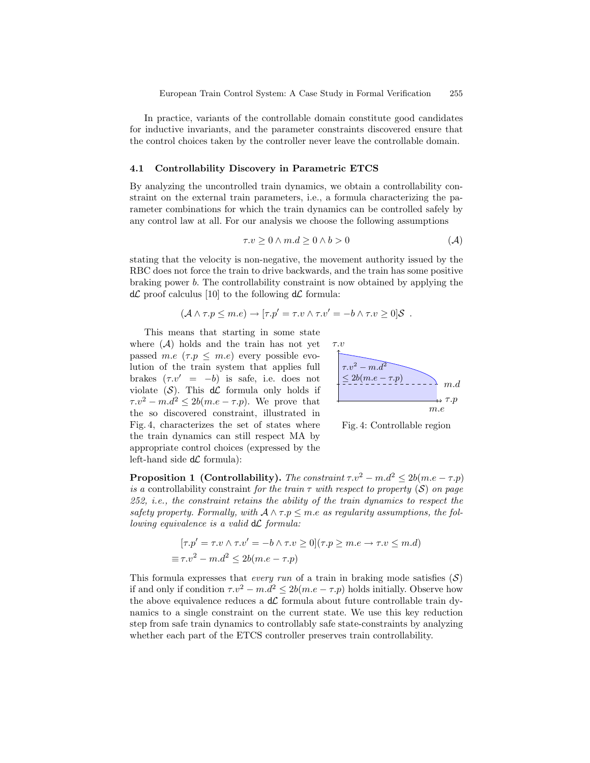In practice, variants of the controllable domain constitute good candidates for inductive invariants, and the parameter constraints discovered ensure that the control choices taken by the controller never leave the controllable domain.

## 4.1 Controllability Discovery in Parametric ETCS

By analyzing the uncontrolled train dynamics, we obtain a controllability constraint on the external train parameters, i.e., a formula characterizing the parameter combinations for which the train dynamics can be controlled safely by any control law at all. For our analysis we choose the following assumptions

$$
\tau.v \ge 0 \land m.d \ge 0 \land b > 0 \tag{A}
$$

stating that the velocity is non-negative, the movement authority issued by the RBC does not force the train to drive backwards, and the train has some positive braking power b. The controllability constraint is now obtained by applying the  $d\mathcal{L}$  proof calculus [10] to the following  $d\mathcal{L}$  formula:

$$
(\mathcal{A} \wedge \tau.p \leq m.e) \rightarrow [\tau.p' = \tau.v \wedge \tau.v' = -b \wedge \tau.v \geq 0] \mathcal{S} .
$$

This means that starting in some state where  $(A)$  holds and the train has not yet passed m.e  $(\tau.p \leq m.e)$  every possible evolution of the train system that applies full brakes  $(\tau.v' = -b)$  is safe, i.e. does not violate  $(S)$ . This  $d\mathcal{L}$  formula only holds if  $\tau.v^2 - m.d^2 \leq 2b(m.e - \tau.p)$ . We prove that the so discovered constraint, illustrated in Fig. 4, characterizes the set of states where the train dynamics can still respect MA by appropriate control choices (expressed by the left-hand side  $d\mathcal{L}$  formula):



Fig. 4: Controllable region

**Proposition 1 (Controllability).** The constraint  $\tau \cdot v^2 - m \cdot d^2 \leq 2b(m.e - \tau \cdot p)$ is a controllability constraint for the train  $\tau$  with respect to property (S) on page 252, i.e., the constraint retains the ability of the train dynamics to respect the safety property. Formally, with  $A \wedge \tau.p \leq m.e$  as regularity assumptions, the following equivalence is a valid  $d\mathcal{L}$  formula:

$$
[\tau.p' = \tau.v \land \tau.v' = -b \land \tau.v \ge 0](\tau.p \ge m.e \to \tau.v \le m.d)
$$

$$
\equiv \tau.v^2 - m.d^2 \le 2b(m.e - \tau.p)
$$

This formula expresses that *every run* of a train in braking mode satisfies  $(S)$ if and only if condition  $\tau.v^2 - m.d^2 \leq 2b(m.e - \tau.p)$  holds initially. Observe how the above equivalence reduces a  $d\mathcal{L}$  formula about future controllable train dynamics to a single constraint on the current state. We use this key reduction step from safe train dynamics to controllably safe state-constraints by analyzing whether each part of the ETCS controller preserves train controllability.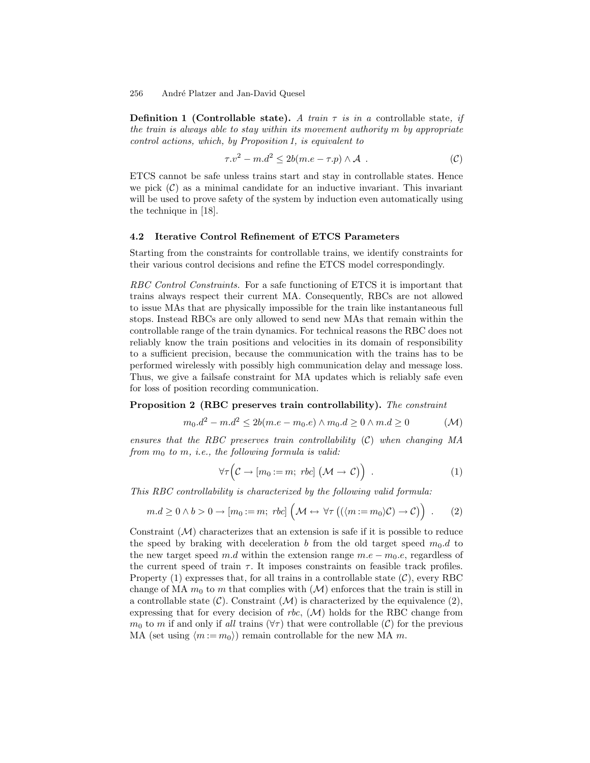**Definition 1 (Controllable state).** A train  $\tau$  is in a controllable state, if the train is always able to stay within its movement authority m by appropriate control actions, which, by Proposition 1, is equivalent to

$$
\tau.v^2 - m.d^2 \le 2b(m.e - \tau.p) \wedge \mathcal{A} \ . \tag{C}
$$

ETCS cannot be safe unless trains start and stay in controllable states. Hence we pick  $(C)$  as a minimal candidate for an inductive invariant. This invariant will be used to prove safety of the system by induction even automatically using the technique in [18].

## 4.2 Iterative Control Refinement of ETCS Parameters

Starting from the constraints for controllable trains, we identify constraints for their various control decisions and refine the ETCS model correspondingly.

RBC Control Constraints. For a safe functioning of ETCS it is important that trains always respect their current MA. Consequently, RBCs are not allowed to issue MAs that are physically impossible for the train like instantaneous full stops. Instead RBCs are only allowed to send new MAs that remain within the controllable range of the train dynamics. For technical reasons the RBC does not reliably know the train positions and velocities in its domain of responsibility to a sufficient precision, because the communication with the trains has to be performed wirelessly with possibly high communication delay and message loss. Thus, we give a failsafe constraint for MA updates which is reliably safe even for loss of position recording communication.

#### Proposition 2 (RBC preserves train controllability). The constraint

$$
m_0.d^2 - m.d^2 \le 2b(m.e - m_0.e) \land m_0.d \ge 0 \land m.d \ge 0 \tag{M}
$$

ensures that the RBC preserves train controllability  $(C)$  when changing MA from  $m_0$  to  $m$ , *i.e.*, the following formula is valid:

$$
\forall \tau \Big( \mathcal{C} \to [m_0 := m; \; rbc] \; \big( \mathcal{M} \to \mathcal{C} \big) \Big) \; . \tag{1}
$$

This RBC controllability is characterized by the following valid formula:

$$
m.d \ge 0 \land b > 0 \to [m_0 := m; \; rbc] \left( \mathcal{M} \leftrightarrow \forall \tau \left( (\langle m := m_0 \rangle \mathcal{C}) \to \mathcal{C} \right) \right) . \tag{2}
$$

Constraint  $(M)$  characterizes that an extension is safe if it is possible to reduce the speed by braking with deceleration b from the old target speed  $m_0.d$  to the new target speed m.d within the extension range  $m.e$  –  $m_0.e$ , regardless of the current speed of train  $\tau$ . It imposes constraints on feasible track profiles. Property (1) expresses that, for all trains in a controllable state  $(C)$ , every RBC change of MA  $m_0$  to m that complies with  $(M)$  enforces that the train is still in a controllable state  $(C)$ . Constraint  $(M)$  is characterized by the equivalence  $(2)$ , expressing that for every decision of rbc,  $(\mathcal{M})$  holds for the RBC change from  $m_0$  to m if and only if all trains  $(\forall \tau)$  that were controllable  $(\mathcal{C})$  for the previous MA (set using  $\langle m := m_0 \rangle$ ) remain controllable for the new MA m.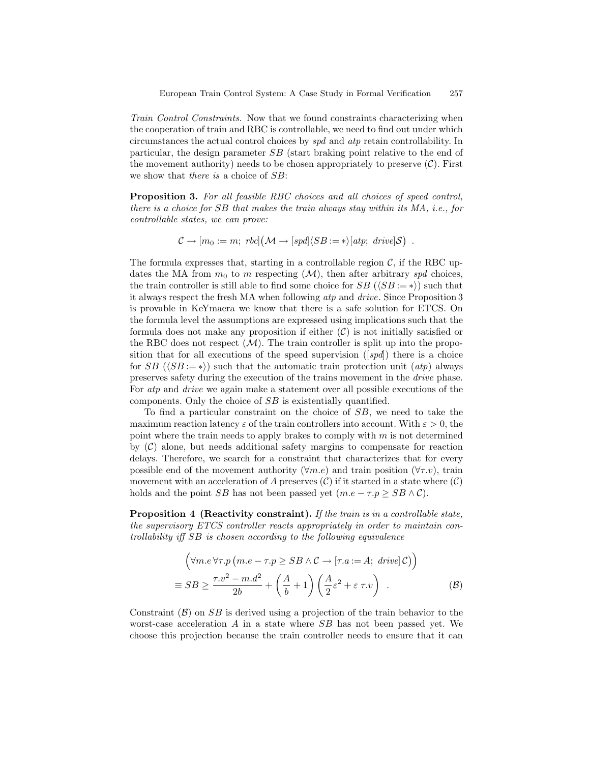Train Control Constraints. Now that we found constraints characterizing when the cooperation of train and RBC is controllable, we need to find out under which circumstances the actual control choices by spd and atp retain controllability. In particular, the design parameter SB (start braking point relative to the end of the movement authority) needs to be chosen appropriately to preserve  $(C)$ . First we show that there is a choice of SB:

Proposition 3. For all feasible RBC choices and all choices of speed control, there is a choice for SB that makes the train always stay within its MA, i.e., for controllable states, we can prove:

$$
\mathcal{C} \to [m_0 := m; \ \mathit{rbc}](\mathcal{M} \to [spd]\langle SB := *)[\mathit{atp};\ \mathit{drive}]\mathcal{S})
$$

.

The formula expresses that, starting in a controllable region  $\mathcal{C}$ , if the RBC updates the MA from  $m_0$  to m respecting  $(M)$ , then after arbitrary spd choices, the train controller is still able to find some choice for  $SB \ (\langle SB := * \rangle)$  such that it always respect the fresh MA when following atp and drive. Since Proposition 3 is provable in KeYmaera we know that there is a safe solution for ETCS. On the formula level the assumptions are expressed using implications such that the formula does not make any proposition if either  $(C)$  is not initially satisfied or the RBC does not respect  $(M)$ . The train controller is split up into the proposition that for all executions of the speed supervision  $([spd])$  there is a choice for  $SB \ (S\mathcal{B} := *)$  such that the automatic train protection unit  $(atp)$  always preserves safety during the execution of the trains movement in the drive phase. For atp and drive we again make a statement over all possible executions of the components. Only the choice of SB is existentially quantified.

To find a particular constraint on the choice of SB, we need to take the maximum reaction latency  $\varepsilon$  of the train controllers into account. With  $\varepsilon > 0$ , the point where the train needs to apply brakes to comply with  $m$  is not determined by  $(\mathcal{C})$  alone, but needs additional safety margins to compensate for reaction delays. Therefore, we search for a constraint that characterizes that for every possible end of the movement authority ( $\forall m.e$ ) and train position ( $\forall \tau.v$ ), train movement with an acceleration of A preserves  $(C)$  if it started in a state where  $(C)$ holds and the point SB has not been passed yet  $(m.e - \tau.p \geq SB \wedge C)$ .

Proposition 4 (Reactivity constraint). If the train is in a controllable state, the supervisory ETCS controller reacts appropriately in order to maintain controllability iff SB is chosen according to the following equivalence

$$
\left(\forall m. e \,\forall \tau. p \left(m. e - \tau. p \ge SB \land \mathcal{C} \rightarrow [\tau.a := A; \text{ drive}] \mathcal{C}\right)\right)
$$

$$
\equiv SB \ge \frac{\tau. v^2 - m. d^2}{2b} + \left(\frac{A}{b} + 1\right) \left(\frac{A}{2}\varepsilon^2 + \varepsilon \tau. v\right) . \tag{B}
$$

Constraint  $(\mathcal{B})$  on  $SB$  is derived using a projection of the train behavior to the worst-case acceleration A in a state where SB has not been passed yet. We choose this projection because the train controller needs to ensure that it can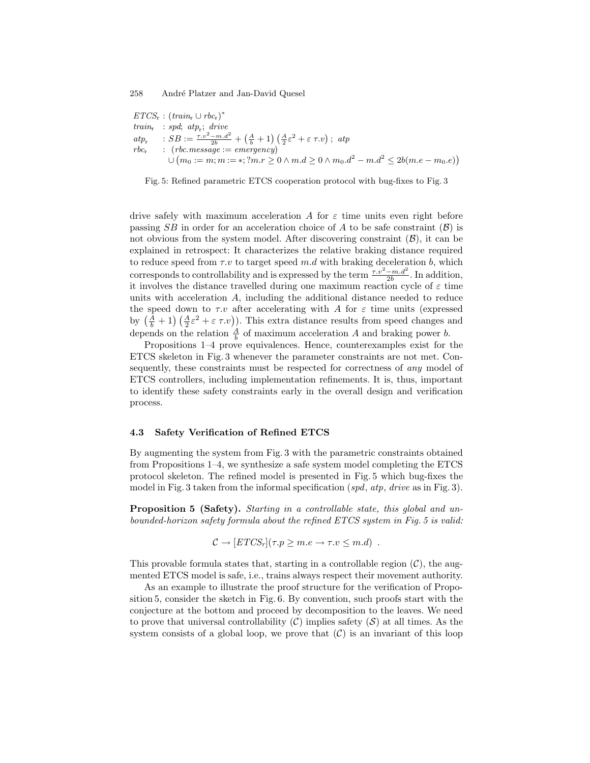$ETCS_r : (train_r \cup rbc_r)^*$  $train_r$  : spd;  $atp_r$ ; drive  $\begin{array}{l} at p_{\mathrm{r}} \\ r b c_{\mathrm{r}} \end{array}$ :  $SB := \frac{\tau \cdot v^2 - m \cdot d^2}{2b} + \left(\frac{A}{b} + 1\right) \left(\frac{A}{2} \varepsilon^2 + \varepsilon \tau \cdot v\right)$ ;  $atp$  $rbc_r$  : (rbc.message := emergency)  $\cup (m_0 := m; m := *, ?m.r \ge 0 \land m.d \ge 0 \land m_0.d^2 - m.d^2 \le 2b(m.e - m_0.e))$ 

Fig. 5: Refined parametric ETCS cooperation protocol with bug-fixes to Fig. 3

drive safely with maximum acceleration A for  $\varepsilon$  time units even right before passing  $SB$  in order for an acceleration choice of A to be safe constraint  $(\mathcal{B})$  is not obvious from the system model. After discovering constraint  $(\mathcal{B})$ , it can be explained in retrospect: It characterizes the relative braking distance required to reduce speed from  $\tau.v$  to target speed  $m.d$  with braking deceleration b, which corresponds to controllability and is expressed by the term  $\frac{\tau \cdot v^2 - m \cdot d^2}{2b}$ . In addition, it involves the distance travelled during one maximum reaction cycle of  $\varepsilon$  time units with acceleration A, including the additional distance needed to reduce the speed down to  $\tau.v$  after accelerating with A for  $\varepsilon$  time units (expressed by  $\left(\frac{A}{b}+1\right)\left(\frac{A}{2}\varepsilon^2+\varepsilon\,\tau.v\right)$ ). This extra distance results from speed changes and depends on the relation  $\frac{A}{b}$  of maximum acceleration A and braking power b.

Propositions 1–4 prove equivalences. Hence, counterexamples exist for the ETCS skeleton in Fig. 3 whenever the parameter constraints are not met. Consequently, these constraints must be respected for correctness of any model of ETCS controllers, including implementation refinements. It is, thus, important to identify these safety constraints early in the overall design and verification process.

## 4.3 Safety Verification of Refined ETCS

By augmenting the system from Fig. 3 with the parametric constraints obtained from Propositions 1–4, we synthesize a safe system model completing the ETCS protocol skeleton. The refined model is presented in Fig. 5 which bug-fixes the model in Fig. 3 taken from the informal specification (spd, atp, drive as in Fig. 3).

Proposition 5 (Safety). Starting in a controllable state, this global and unbounded-horizon safety formula about the refined ETCS system in Fig. 5 is valid:

$$
C \to [ETCS_r](\tau.p \geq m.e \to \tau.v \leq m.d) .
$$

This provable formula states that, starting in a controllable region  $(\mathcal{C})$ , the augmented ETCS model is safe, i.e., trains always respect their movement authority.

As an example to illustrate the proof structure for the verification of Proposition 5, consider the sketch in Fig. 6. By convention, such proofs start with the conjecture at the bottom and proceed by decomposition to the leaves. We need to prove that universal controllability  $(C)$  implies safety  $(S)$  at all times. As the system consists of a global loop, we prove that  $(\mathcal{C})$  is an invariant of this loop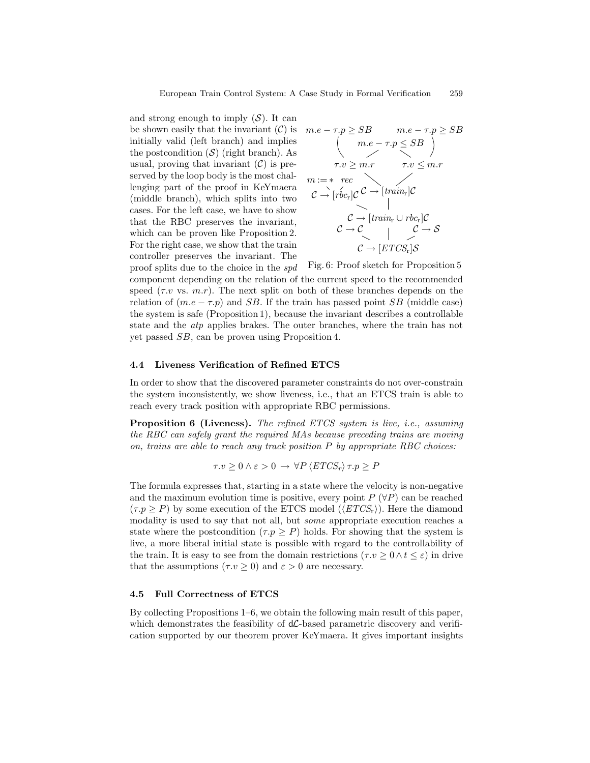and strong enough to imply  $(S)$ . It can be shown easily that the invariant  $(C)$  is initially valid (left branch) and implies the postcondition  $(S)$  (right branch). As usual, proving that invariant  $(C)$  is preserved by the loop body is the most challenging part of the proof in KeYmaera (middle branch), which splits into two cases. For the left case, we have to show that the RBC preserves the invariant, which can be proven like Proposition 2. For the right case, we show that the train controller preserves the invariant. The proof splits due to the choice in the spd



Fig. 6: Proof sketch for Proposition 5

component depending on the relation of the current speed to the recommended speed  $(\tau.v \text{ vs. } m.r)$ . The next split on both of these branches depends on the relation of  $(m.e - \tau.p)$  and SB. If the train has passed point SB (middle case) the system is safe (Proposition 1), because the invariant describes a controllable state and the atp applies brakes. The outer branches, where the train has not yet passed SB, can be proven using Proposition 4.

# 4.4 Liveness Verification of Refined ETCS

In order to show that the discovered parameter constraints do not over-constrain the system inconsistently, we show liveness, i.e., that an ETCS train is able to reach every track position with appropriate RBC permissions.

Proposition 6 (Liveness). The refined ETCS system is live, i.e., assuming the RBC can safely grant the required MAs because preceding trains are moving on, trains are able to reach any track position  $P$  by appropriate RBC choices:

$$
\tau.v \ge 0 \land \varepsilon > 0 \rightarrow \forall P \left< \text{ETCS}_r \right> \tau.p \ge P
$$

The formula expresses that, starting in a state where the velocity is non-negative and the maximum evolution time is positive, every point  $P(\forall P)$  can be reached  $(\tau.p \geq P)$  by some execution of the ETCS model  $(\langle ETCS_r \rangle)$ . Here the diamond modality is used to say that not all, but *some* appropriate execution reaches a state where the postcondition  $(\tau.p \geq P)$  holds. For showing that the system is live, a more liberal initial state is possible with regard to the controllability of the train. It is easy to see from the domain restrictions ( $\tau \cdot v \geq 0 \wedge t \leq \varepsilon$ ) in drive that the assumptions  $(\tau.v \geq 0)$  and  $\varepsilon > 0$  are necessary.

#### 4.5 Full Correctness of ETCS

By collecting Propositions 1–6, we obtain the following main result of this paper, which demonstrates the feasibility of  $d\mathcal{L}$ -based parametric discovery and verification supported by our theorem prover KeYmaera. It gives important insights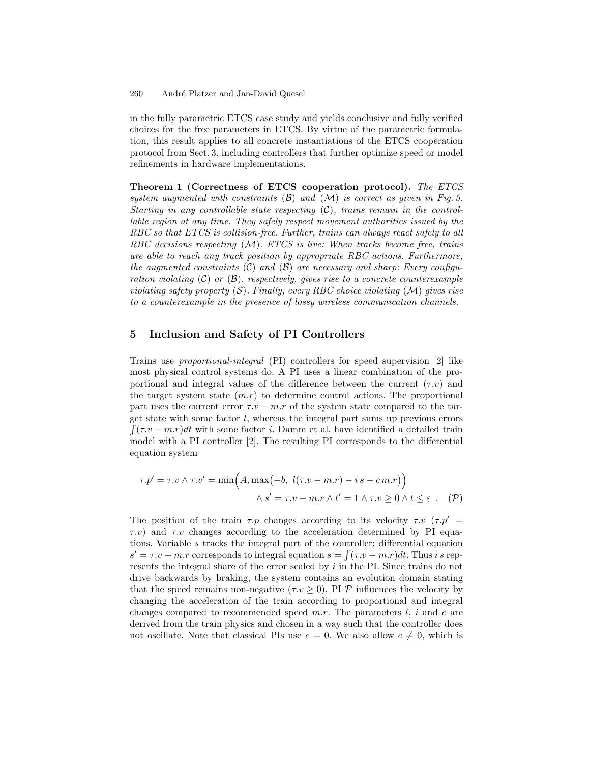in the fully parametric ETCS case study and yields conclusive and fully verified choices for the free parameters in ETCS. By virtue of the parametric formulation, this result applies to all concrete instantiations of the ETCS cooperation protocol from Sect. 3, including controllers that further optimize speed or model refinements in hardware implementations.

Theorem 1 (Correctness of ETCS cooperation protocol). The ETCS system augmented with constraints  $(B)$  and  $(M)$  is correct as given in Fig. 5. Starting in any controllable state respecting  $(C)$ , trains remain in the controllable region at any time. They safely respect movement authorities issued by the RBC so that ETCS is collision-free. Further, trains can always react safely to all RBC decisions respecting  $(M)$ . ETCS is live: When tracks become free, trains are able to reach any track position by appropriate RBC actions. Furthermore, the augmented constraints  $(C)$  and  $(B)$  are necessary and sharp: Every configuration violating  $(C)$  or  $(B)$ , respectively, gives rise to a concrete counterexample violating safety property  $(S)$ . Finally, every RBC choice violating  $(M)$  gives rise to a counterexample in the presence of lossy wireless communication channels.

# 5 Inclusion and Safety of PI Controllers

Trains use proportional-integral (PI) controllers for speed supervision [2] like most physical control systems do. A PI uses a linear combination of the proportional and integral values of the difference between the current  $(\tau, v)$  and the target system state  $(m.r)$  to determine control actions. The proportional part uses the current error  $\tau \cdot v - m \cdot r$  of the system state compared to the target state with some factor l, whereas the integral part sums up previous errors  $\int (\tau \cdot v - m \cdot r) dt$  with some factor *i*. Damm et al. have identified a detailed train model with a PI controller [2]. The resulting PI corresponds to the differential equation system

$$
\tau.p' = \tau.v \land \tau.v' = \min(A, \max(-b, l(\tau.v - m.r) - is - cm.r))
$$

$$
\land s' = \tau.v - m.r \land t' = 1 \land \tau.v \ge 0 \land t \le \varepsilon .
$$
 (P)

The position of the train  $\tau.p$  changes according to its velocity  $\tau.v$  ( $\tau.p'$ )  $\tau.v$ ) and  $\tau.v$  changes according to the acceleration determined by PI equations. Variable s tracks the integral part of the controller: differential equation  $s' = \tau.v - m.r$  corresponds to integral equation  $s = \int (\tau.v - m.r)dt$ . Thus i s represents the integral share of the error scaled by  $i$  in the PI. Since trains do not drive backwards by braking, the system contains an evolution domain stating that the speed remains non-negative  $(\tau \cdot v \geq 0)$ . PI  $\mathcal P$  influences the velocity by changing the acceleration of the train according to proportional and integral changes compared to recommended speed  $m.r$ . The parameters  $l, i$  and  $c$  are derived from the train physics and chosen in a way such that the controller does not oscillate. Note that classical PIs use  $c = 0$ . We also allow  $c \neq 0$ , which is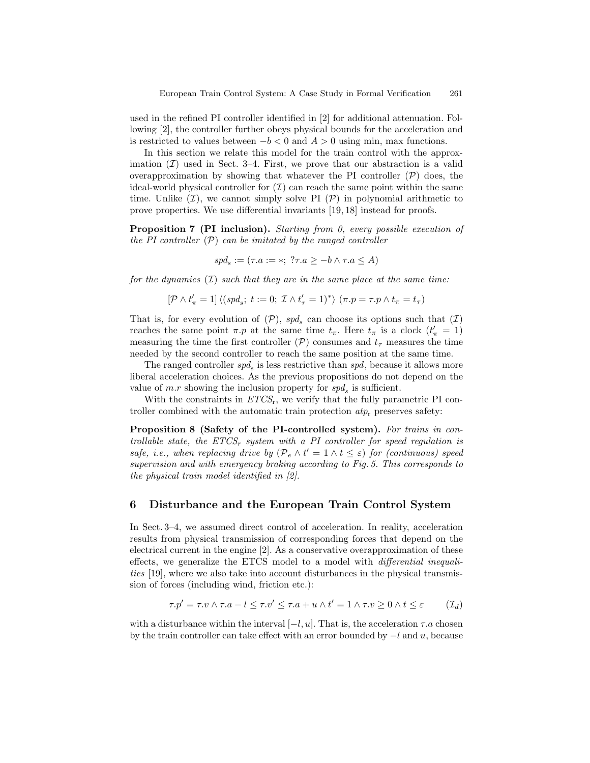used in the refined PI controller identified in [2] for additional attenuation. Following [2], the controller further obeys physical bounds for the acceleration and is restricted to values between  $-b < 0$  and  $A > 0$  using min, max functions.

In this section we relate this model for the train control with the approximation  $(\mathcal{I})$  used in Sect. 3–4. First, we prove that our abstraction is a valid overapproximation by showing that whatever the PI controller  $(\mathcal{P})$  does, the ideal-world physical controller for  $(\mathcal{I})$  can reach the same point within the same time. Unlike  $(\mathcal{I})$ , we cannot simply solve PI  $(\mathcal{P})$  in polynomial arithmetic to prove properties. We use differential invariants [19, 18] instead for proofs.

Proposition 7 (PI inclusion). Starting from 0, every possible execution of the PI controller  $(\mathcal{P})$  can be imitated by the ranged controller

$$
spd_s := (\tau.a := \ast; \ ?\tau.a \geq -b \land \tau.a \leq A)
$$

for the dynamics  $(I)$  such that they are in the same place at the same time:

$$
\left[\mathcal{P} \wedge t'_\pi=1\right] \langle \left(spd_s;\ t:=0;\ \mathcal{I} \wedge t'_\tau=1\right)^\ast\rangle\ (\pi.p=\tau.p \wedge t_\pi=t_\tau)
$$

That is, for every evolution of  $(\mathcal{P})$ , spd<sub>s</sub> can choose its options such that  $(\mathcal{I})$ reaches the same point  $\pi.p$  at the same time  $t_{\pi}$ . Here  $t_{\pi}$  is a clock  $(t'_{\pi} = 1)$ measuring the time the first controller (P) consumes and  $t<sub>\tau</sub>$  measures the time needed by the second controller to reach the same position at the same time.

The ranged controller  $spd_s$  is less restrictive than  $spd$ , because it allows more liberal acceleration choices. As the previous propositions do not depend on the value of  $m.r$  showing the inclusion property for  $spd_s$  is sufficient.

With the constraints in  $ETCS<sub>r</sub>$ , we verify that the fully parametric PI controller combined with the automatic train protection  $atp_r$ , preserves safety:

Proposition 8 (Safety of the PI-controlled system). For trains in controllable state, the  $ETCS_r$  system with a PI controller for speed regulation is safe, i.e., when replacing drive by  $(\mathcal{P}_e \wedge t' = 1 \wedge t \leq \varepsilon)$  for (continuous) speed supervision and with emergency braking according to Fig. 5. This corresponds to the physical train model identified in [2].

## 6 Disturbance and the European Train Control System

In Sect. 3–4, we assumed direct control of acceleration. In reality, acceleration results from physical transmission of corresponding forces that depend on the electrical current in the engine [2]. As a conservative overapproximation of these effects, we generalize the ETCS model to a model with differential inequalities [19], where we also take into account disturbances in the physical transmission of forces (including wind, friction etc.):

$$
\tau.p' = \tau.v \land \tau.a - l \leq \tau.v' \leq \tau.a + u \land t' = 1 \land \tau.v \geq 0 \land t \leq \varepsilon \qquad (\mathcal{I}_d)
$$

with a disturbance within the interval  $[-l, u]$ . That is, the acceleration  $\tau.a$  chosen by the train controller can take effect with an error bounded by  $-l$  and u, because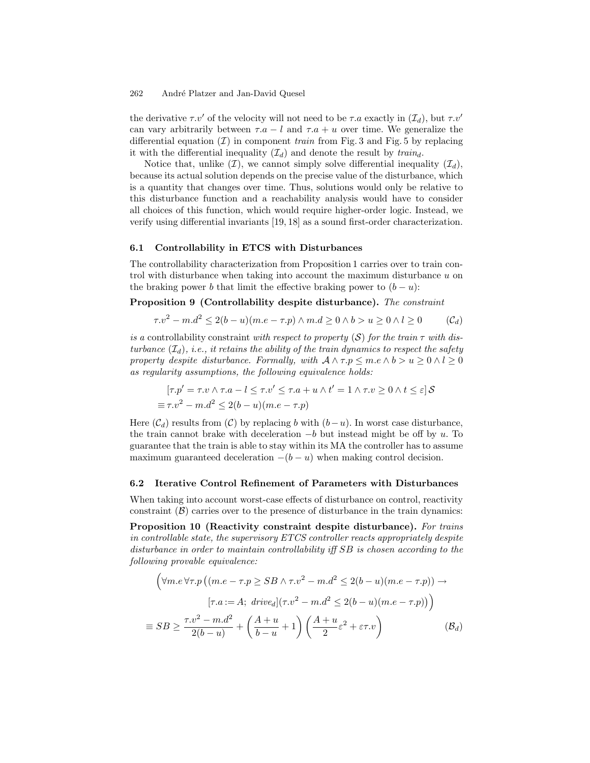the derivative  $\tau.v'$  of the velocity will not need to be  $\tau.a$  exactly in  $(\mathcal{I}_d)$ , but  $\tau.v'$ can vary arbitrarily between  $\tau.a - l$  and  $\tau.a + u$  over time. We generalize the differential equation  $(\mathcal{I})$  in component train from Fig. 3 and Fig. 5 by replacing it with the differential inequality  $(\mathcal{I}_d)$  and denote the result by traind.

Notice that, unlike  $(\mathcal{I})$ , we cannot simply solve differential inequality  $(\mathcal{I}_d)$ , because its actual solution depends on the precise value of the disturbance, which is a quantity that changes over time. Thus, solutions would only be relative to this disturbance function and a reachability analysis would have to consider all choices of this function, which would require higher-order logic. Instead, we verify using differential invariants [19, 18] as a sound first-order characterization.

## 6.1 Controllability in ETCS with Disturbances

The controllability characterization from Proposition 1 carries over to train control with disturbance when taking into account the maximum disturbance  $u$  on the braking power b that limit the effective braking power to  $(b - u)$ :

Proposition 9 (Controllability despite disturbance). The constraint

$$
\tau.v^2 - m.d^2 \le 2(b-u)(m.e - \tau.p) \land m.d \ge 0 \land b > u \ge 0 \land l \ge 0 \qquad (\mathcal{C}_d)
$$

is a controllability constraint with respect to property (S) for the train  $\tau$  with disturbance  $(\mathcal{I}_d)$ , i.e., it retains the ability of the train dynamics to respect the safety property despite disturbance. Formally, with  $A \wedge \tau.p \leq m.e \wedge b > u \geq 0 \wedge l \geq 0$ as regularity assumptions, the following equivalence holds:

$$
[\tau.p' = \tau.v \land \tau.a - l \le \tau.v' \le \tau.a + u \land t' = 1 \land \tau.v \ge 0 \land t \le \varepsilon] S
$$
  

$$
\equiv \tau.v^2 - m.d^2 \le 2(b-u)(m.e - \tau.p)
$$

Here  $(\mathcal{C}_d)$  results from  $(\mathcal{C})$  by replacing b with  $(b-u)$ . In worst case disturbance, the train cannot brake with deceleration  $-b$  but instead might be off by u. To guarantee that the train is able to stay within its MA the controller has to assume maximum guaranteed deceleration  $-(b - u)$  when making control decision.

### 6.2 Iterative Control Refinement of Parameters with Disturbances

When taking into account worst-case effects of disturbance on control, reactivity constraint  $(\beta)$  carries over to the presence of disturbance in the train dynamics:

Proposition 10 (Reactivity constraint despite disturbance). For trains in controllable state, the supervisory ETCS controller reacts appropriately despite disturbance in order to maintain controllability iff SB is chosen according to the following provable equivalence:

$$
\left(\forall m.e \,\forall \tau. p\left((m.e - \tau. p \ge SB \land \tau. v^2 - m.d^2 \le 2(b - u)(m.e - \tau. p)\right) \rightarrow \left[\tau. a := A; \, \text{drive}_d\right] (\tau. v^2 - m.d^2 \le 2(b - u)(m.e - \tau. p)\right)\right)
$$
\n
$$
\equiv SB \ge \frac{\tau. v^2 - m.d^2}{2(b - u)} + \left(\frac{A + u}{b - u} + 1\right) \left(\frac{A + u}{2}\varepsilon^2 + \varepsilon\tau. v\right) \tag{B_d}
$$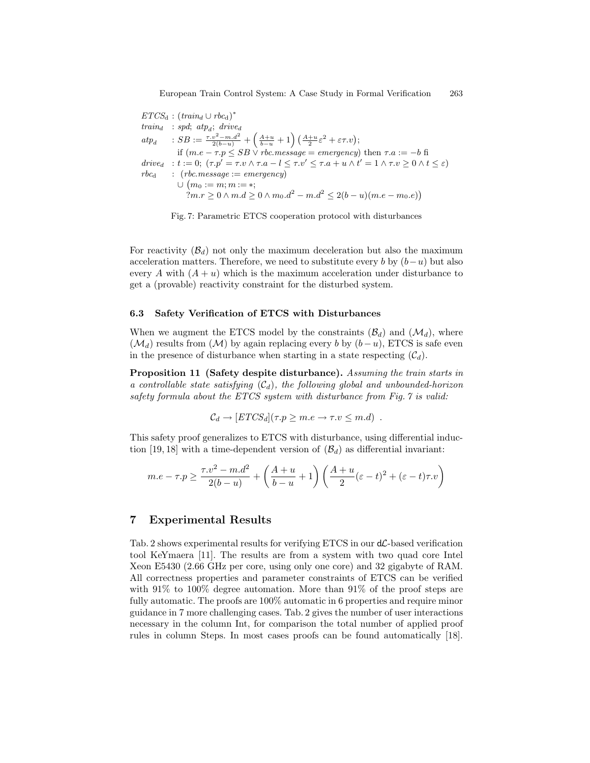$ETCS<sub>d</sub> : (train<sub>d</sub> ∪ rbc<sub>d</sub>)<sup>*</sup>$  $train_d$  : spd;  $atp_d$ ;  $drive_d$  $atp<sub>d</sub>$  $: SB := \frac{\tau \cdot v^2 - m \cdot d^2}{2(b-u)} + \left(\frac{A+u}{b-u} + 1\right) \left(\frac{A+u}{2} \varepsilon^2 + \varepsilon \tau \cdot v\right);$ if  $(m.e - \tau.p \leq SB \vee rbc.message = emergency)$  then  $\tau.a := -b$  fi drive<sub>d</sub> :  $t := 0$ ;  $(\tau.p' = \tau.v \land \tau.a - l \leq \tau.v' \leq \tau.a + u \land t' = 1 \land \tau.v \geq 0 \land t \leq \varepsilon)$  $rbc_d$  : (rbc.message := emergency)  $\cup$   $(m_0 := m; m := *;$  $?m.r \geq 0 \land m.d \geq 0 \land m_0.d^2 - m.d^2 \leq 2(b-u)(m.e - m_0.e)$ 



For reactivity  $(\mathcal{B}_d)$  not only the maximum deceleration but also the maximum acceleration matters. Therefore, we need to substitute every b by  $(b-u)$  but also every A with  $(A + u)$  which is the maximum acceleration under disturbance to get a (provable) reactivity constraint for the disturbed system.

## 6.3 Safety Verification of ETCS with Disturbances

When we augment the ETCS model by the constraints  $(\mathcal{B}_d)$  and  $(\mathcal{M}_d)$ , where  $(\mathcal{M}_d)$  results from  $(\mathcal{M})$  by again replacing every b by  $(b - u)$ , ETCS is safe even in the presence of disturbance when starting in a state respecting  $(\mathcal{C}_d)$ .

Proposition 11 (Safety despite disturbance). Assuming the train starts in a controllable state satisfying  $(C_d)$ , the following global and unbounded-horizon safety formula about the ETCS system with disturbance from Fig. 7 is valid:

$$
C_d \to [ETCS_d](\tau.p \geq m.e \to \tau.v \leq m.d) .
$$

This safety proof generalizes to ETCS with disturbance, using differential induction [19, 18] with a time-dependent version of  $(\mathcal{B}_d)$  as differential invariant:

$$
m.e - \tau.p \ge \frac{\tau.v^2 - m.d^2}{2(b-u)} + \left(\frac{A+u}{b-u} + 1\right) \left(\frac{A+u}{2}(\varepsilon-t)^2 + (\varepsilon-t)\tau.v\right)
$$

# 7 Experimental Results

Tab. 2 shows experimental results for verifying ETCS in our  $d\mathcal{L}$ -based verification tool KeYmaera [11]. The results are from a system with two quad core Intel Xeon E5430 (2.66 GHz per core, using only one core) and 32 gigabyte of RAM. All correctness properties and parameter constraints of ETCS can be verified with  $91\%$  to  $100\%$  degree automation. More than  $91\%$  of the proof steps are fully automatic. The proofs are 100% automatic in 6 properties and require minor guidance in 7 more challenging cases. Tab. 2 gives the number of user interactions necessary in the column Int, for comparison the total number of applied proof rules in column Steps. In most cases proofs can be found automatically [18].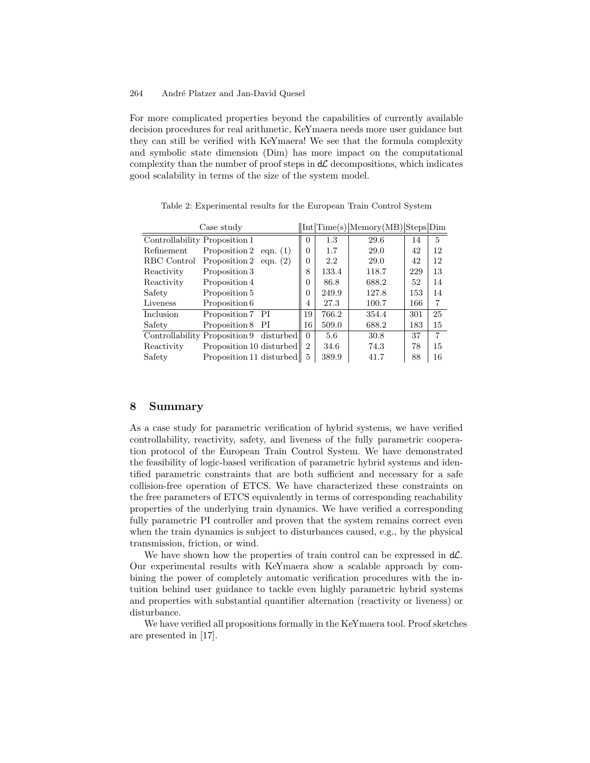For more complicated properties beyond the capabilities of currently available decision procedures for real arithmetic, KeYmaera needs more user guidance but they can still be verified with KeYmaera! We see that the formula complexity and symbolic state dimension (Dim) has more impact on the computational complexity than the number of proof steps in  $d\mathcal{L}$  decompositions, which indicates good scalability in terms of the size of the system model.

| Case study                    |                               |            |                |       | Int Time(s) Memory(MB) Steps Dim |     |    |
|-------------------------------|-------------------------------|------------|----------------|-------|----------------------------------|-----|----|
| Controllability Proposition 1 |                               |            | $\theta$       | 1.3   | 29.6                             | 14  | 5  |
| Refinement                    | Proposition 2                 | eqn. $(1)$ | $\theta$       | 1.7   | 29.0                             | 42  | 12 |
| RBC Control                   | Proposition 2                 | eqn. $(2)$ | $\theta$       | 2.2   | 29.0                             | 42  | 12 |
| Reactivity                    | Proposition 3                 |            | 8              | 133.4 | 118.7                            | 229 | 13 |
| Reactivity                    | Proposition 4                 |            | $\theta$       | 86.8  | 688.2                            | 52  | 14 |
| Safety                        | Proposition 5                 |            | 0              | 249.9 | 127.8                            | 153 | 14 |
| Liveness                      | Proposition 6                 |            | 4              | 27.3  | 100.7                            | 166 | 7  |
| Inclusion                     | Proposition 7                 | PI         | 19             | 766.2 | 354.4                            | 301 | 25 |
| Safety                        | Proposition 8                 | PI         | 16             | 509.0 | 688.2                            | 183 | 15 |
|                               | Controllability Proposition 9 | disturbed  | $\Omega$       | 5.6   | 30.8                             | 37  | 7  |
| Reactivity                    | Proposition 10 disturbed      |            | $\overline{2}$ | 34.6  | 74.3                             | 78  | 15 |
| Safety                        | Proposition 11 disturbed      |            | $\overline{5}$ | 389.9 | 41.7                             | 88  | 16 |

Table 2: Experimental results for the European Train Control System

# 8 Summary

As a case study for parametric verification of hybrid systems, we have verified controllability, reactivity, safety, and liveness of the fully parametric cooperation protocol of the European Train Control System. We have demonstrated the feasibility of logic-based verification of parametric hybrid systems and identified parametric constraints that are both sufficient and necessary for a safe collision-free operation of ETCS. We have characterized these constraints on the free parameters of ETCS equivalently in terms of corresponding reachability properties of the underlying train dynamics. We have verified a corresponding fully parametric PI controller and proven that the system remains correct even when the train dynamics is subject to disturbances caused, e.g., by the physical transmission, friction, or wind.

We have shown how the properties of train control can be expressed in  $d\mathcal{L}$ . Our experimental results with KeYmaera show a scalable approach by combining the power of completely automatic verification procedures with the intuition behind user guidance to tackle even highly parametric hybrid systems and properties with substantial quantifier alternation (reactivity or liveness) or disturbance.

We have verified all propositions formally in the KeYmaera tool. Proof sketches are presented in [17].